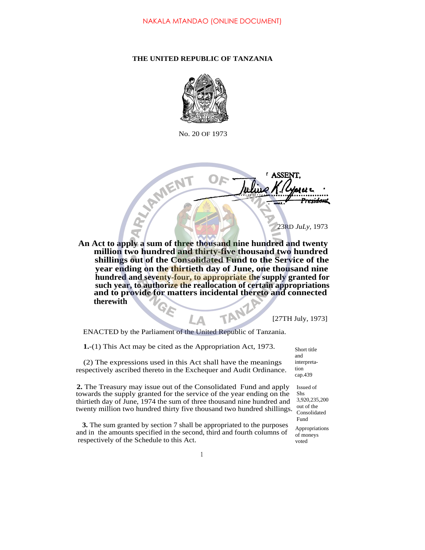## **THE UNITED REPUBLIC OF TANZANIA**



No. 20 OF 1973

O

D-Y-RMTEINT 23RD *JuLy,* 1973 **An Act to apply a sum of three thousand nine hundred and twenty million two hundred and thirty-five thousand two hundred shillings out of the Consolidated Fund to the Service of the year ending on the thirtieth day of June, one thousand nine hundred and seventy-four, to appropriate the supply granted for such year, to authorize the reallocation of certain appropriations and to provide for matters incidental thereto and connected therewith** Т

[27TH July, 1973]

<del>esidon</del>t

**ASSE** 

ENACTED by the Parliament of the United Republic of Tanzania.

I Δ

| <b>1.</b> -(1) This Act may be cited as the Appropriation Act, 1973.                                                                                                                                                                                                                                | Short title                                                                    |
|-----------------------------------------------------------------------------------------------------------------------------------------------------------------------------------------------------------------------------------------------------------------------------------------------------|--------------------------------------------------------------------------------|
| (2) The expressions used in this Act shall have the meanings<br>respectively ascribed thereto in the Exchequer and Audit Ordinance.                                                                                                                                                                 | and<br>interpreta-<br>tion<br>cap.439                                          |
| <b>2.</b> The Treasury may issue out of the Consolidated Fund and apply<br>towards the supply granted for the service of the year ending on the<br>thirtieth day of June, 1974 the sum of three thousand nine hundred and<br>twenty million two hundred thirty five thousand two hundred shillings. | Issued of<br><b>Shs</b><br>3,920,235,200<br>out of the<br>Consolidated<br>Fund |
| <b>3.</b> The sum granted by section 7 shall be appropriated to the purposes<br>and in the amounts specified in the second, third and fourth columns of<br>respectively of the Schedule to this Act.                                                                                                | Appropriations<br>of moneys<br>voted                                           |
|                                                                                                                                                                                                                                                                                                     |                                                                                |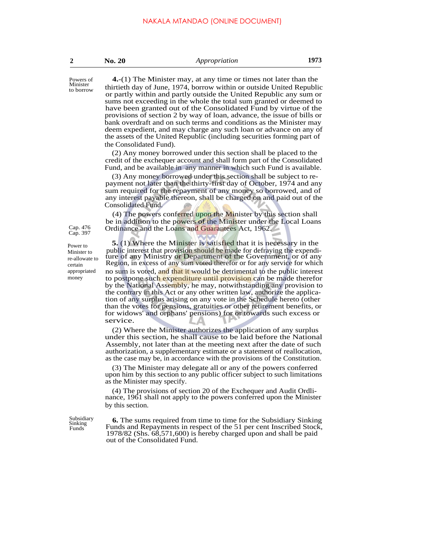| No. 20 |  |
|--------|--|
|--------|--|

to borrow

Cap. 476<br>Cap. 397

Power to Minister to re-allowate to certain appropriated money

Powers of **4.**-(1) The Minister may, at any time or times not later than the Minister thirtieth day of June, 1974, borrow within or outside United Republic or partly within and partly outside the United Republic any sum or sums not exceeding in the whole the total sum granted or deemed to have been granted out of the Consolidated Fund by virtue of the provisions of section 2 by way of loan, advance, the issue of bills or bank overdraft and on such terms and conditions as the Minister may deem expedient, and may charge any such loan or advance on any of the assets of the United Republic (including securities forming part of the Consolidated Fund).

> (2) Any money borrowed under this section shall be placed to the credit of the exchequer account and shall form part of the Consolidated Fund, and be available in any manner in which such Fund is available.

> (3) Any money borrowed under this section shall be subject to repayment not later than the thirty-first day of October, 1974 and any sum required for the repayment of any money so borrowed, and of any interest payable thereon, shall be charged on and paid out of the Consolidated Fund.

> (4) The powers conferred upon the Minister by this section shall be in addition to the powers of the Minister under the Local Loans Ordinance and the Loans and Guarantees Act, 1962.

> **5.** (1) Where the Minister is satisfied that it is necessary in the public interest that provision should be made for defraying the expenditure of any Ministry or Department of the Government, or of any Region, in excess of any sum voted therefor or for any service for which no sum is voted, and that it would be detrimental to the public interest to postpone such expenditure until provision can be made therefor by the National Assembly, he may, notwithstanding any provision to the contrary in this Act or any other written law, authorize the application of any surplus arising on any vote in the Schedule hereto (other than the votes for pensions, gratuities or other retirement benefits, or for widows' and orphans' pensions) for or towards such excess or service.

> (2) Where the Minister authorizes the application of any surplus under this section, he shall cause to be laid before the National Assembly, not later than at the meeting next after the date of such authorization, a supplementary estimate or a statement of reallocation, as the case may be, in accordance with the provisions of the Constitution.

> (3) The Minister may delegate all or any of the powers conferred upon him by this section to any public officer subject to such limitations as the Minister may specify.

> (4) The provisions of section 20 of the Exchequer and Audit Ordlinance, 1961 shall not apply to the powers conferred upon the Minister by this section.

Sinking Funds

Subsidiary **6.** The sums required from time to time for the Subsidiary Sinking Funds and Repayments in respect of the 51 per cent Inscribed Stock, 1978/82 (Shs. 68,571,600) is hereby charged upon and shall be paid out of the Consolidated Fund.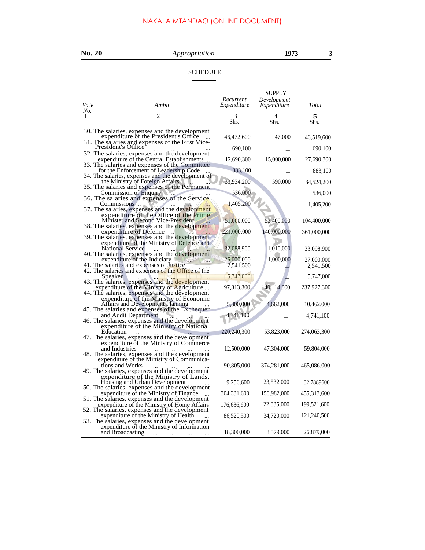## NAKALA MTANDAO (ONLINE DOCUMENT)

| <b>No. 20</b>           | Appropriation                                                                                                                                  |                          | 1973                                 | 3           |
|-------------------------|------------------------------------------------------------------------------------------------------------------------------------------------|--------------------------|--------------------------------------|-------------|
|                         | <b>SCHEDULE</b>                                                                                                                                |                          |                                      |             |
| Vo te                   | Ambit                                                                                                                                          | Recurrent<br>Expenditure | SUPPLY<br>Development<br>Expenditure | Total       |
| No.<br>1                | 2                                                                                                                                              | 3<br>Shs.                | 4<br>Shs.                            | 5<br>Shs.   |
|                         | 30. The salaries, expenses and the development<br>expenditure of the President's Office<br>31. The salaries and expenses of the First Vice-    | 46,472,600               | 47,000                               | 46,519,600  |
| President's Office      | 32. The salaries, expenses and the development                                                                                                 | 690,100                  |                                      | 690,100     |
|                         | expenditure of the Central Establishments<br>33. The salaries and expenses of the Committee                                                    | 12,690,300               | 15,000,000                           | 27,690,300  |
|                         | for the Enforcement of Leadership Code                                                                                                         | 883,100                  |                                      | 883,100     |
|                         | 34. The salaries, expenses and the development of<br>the Ministry of Foreign Affairs<br>35. The salaries and expenses of the Permanent         | 33,934,200               | 590,000                              | 34,524,200  |
|                         | Commission of Enquiry                                                                                                                          | 536,000                  |                                      | 536,000     |
| Commissions             | 36. The salaries and expenses of the Service<br>37. The salaries, expenses and the development                                                 | 1,405,200                |                                      | 1,405,200   |
|                         | expenditure of the Office of the Prime<br>Minister and Second Vice-President<br>38. The salaries, expenses and the development                 | 51,000,000               | 53,400,000                           | 104,400,000 |
|                         | expenditure of Defence<br>39. The salaries, expenses and the development                                                                       | 221,000,000              | 140,000,000                          | 361,000,000 |
| <b>National Service</b> | expenditure of the Ministry of Defence and                                                                                                     | 32,088,900               | 1,010,000                            | 33,098,900  |
|                         | 40. The salaries, expenses and the development<br>expenditure of the Judiciary<br>$10\%$                                                       | 26,000,000               | 1,000,000                            | 27,000,000  |
|                         | 41. The salaries and expenses of Justice<br>42. The salaries and expenses of the Office of the                                                 | 2,541,500                |                                      | 2,541,500   |
| <b>Speaker</b>          |                                                                                                                                                | 5,747,000                |                                      | 5,747,000   |
|                         | 43. The salaries, expenses and the development<br>expenditure of the Ministry of Agriculture<br>44. The salaries, expenses and the development | 97,813,300               | 140,114,000                          | 237,927,300 |
|                         | expenditure of the Ministry of Economic<br><b>Affairs and Development Planning</b>                                                             | 5,800,000                | 4,662,000                            | 10,462,000  |
|                         | 45. The salaries and expenses of the Exchequer<br>and Audit Department                                                                         | 4,741,100                |                                      | 4,741,100   |
|                         | 46. The salaries, expenses and the development<br>expenditure of the Ministry of National                                                      |                          |                                      |             |
| Education               | $\ddotsc$                                                                                                                                      | 220,240,300              | 53,823,000                           | 274,063,300 |
| and Industries          | 47. The salaries, expenses and the development<br>expenditure of the Ministry of Commerce<br>48. The salaries, expenses and the development    | 12,500,000               | 47,304,000                           | 59,804,000  |
| tions and Works         | expenditure of the Ministry of Communica-<br>49. The salaries, expenses and the development                                                    | 90,805,000               | 374,281,000                          | 465,086,000 |
|                         | expenditure of the Ministry of Lands,<br>Housing and Urban Development                                                                         | 9,256,600                | 23,532,000                           | 32,7889600  |
|                         | 50. The salaries, expenses and the development<br>expenditure of the Ministry of Finance<br>$\ddotsc$                                          | 304, 331, 600            | 150,982,000                          | 455,313,600 |
|                         | 51. The salaries, expenses and the development<br>expenditure of the Ministry of Home Affairs                                                  | 176,686,600              | 22,835,000                           | 199,521,600 |
|                         | 52. The salaries, expenses and the development<br>expenditure of the Ministry of Health<br>53. The salaries, expenses and the development      | 86,520,500               | 34,720,000                           | 121,240,500 |
| and Broadcasting        | expenditure of the Ministry of Information<br>$\ddotsc$<br>$\dddot{\phantom{0}}$                                                               | 18,300,000               | 8,579,000                            | 26,879,000  |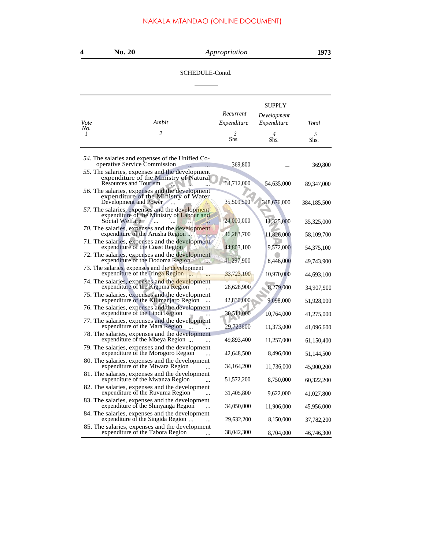SCHEDULE-Contd.

| Vote                  | Ambit                                                                                                                    | Recurrent<br>Expenditure | SUPPLY<br>Development<br>Expenditure | Total       |
|-----------------------|--------------------------------------------------------------------------------------------------------------------------|--------------------------|--------------------------------------|-------------|
| No.<br>$\overline{1}$ | $\overline{c}$                                                                                                           | 3<br>Shs.                | 4<br>Shs.                            | 5<br>Shs.   |
|                       | 54. The salaries and expenses of the Unified Co-<br>operative Service Commission                                         | 369,800                  |                                      | 369,800     |
|                       | 55. The salaries, expenses and the development<br>expenditure of the Ministry of Natural<br><b>Resources and Tourism</b> | 34,712,000               | 54,635,000                           | 89,347,000  |
|                       | 56. The salaries, expenses and the development<br>expenditure of the Ministry of Water<br>Development and Power          | 35,509,500               | 348,676,000                          | 384,185,500 |
|                       | 57. The salaries, expenses and the development<br>expenditure of the Ministry of Labour and<br>Social Welfare            | 24,000,000               | 11,325,000                           | 35,325,000  |
|                       | 70. The salaries, expenses and the development<br>expenditure of the Arusha Region                                       | 46,283,700               | 11,826,000                           | 58,109,700  |
|                       | 71. The salaries, expenses and the development<br>expenditure of the Coast Region                                        | 44,803,100               | 9,572,000                            | 54,375,100  |
|                       | 72. The salaries, expenses and the development<br>expenditure of the Dodoma Region                                       | 41,297,900               | 8,446,000                            | 49,743,900  |
|                       | 73. The salaries, expenses and the development<br>expenditure of the Iringa Region                                       | 33,723,100               | 10,970,000                           | 44,693,100  |
|                       | 74. The salaries, expenses and the development<br>expenditure of the Kigoma Region                                       | 26,628,900               | 8,279,000                            | 34,907,900  |
|                       | 75. The salaries, expenses and the development<br>expenditure of the Kilimanjaro Region                                  | 42,830,000               | 9,098,000                            | 51,928,000  |
|                       | 76. The salaries, expenses and the development<br>expenditure of the Lindi Region                                        | 30,511,000               | 10,764,000                           | 41,275,000  |
|                       | 77. The salaries, expenses and the development<br>expenditure of the Mara Region                                         | 29,723600                | 11,373,000                           | 41,096,600  |
|                       | 78. The salaries, expenses and the development<br>expenditure of the Mbeya Region                                        | 49,893,400               |                                      |             |
|                       | 79. The salaries, expenses and the development                                                                           |                          | 11,257,000                           | 61,150,400  |
|                       | expenditure of the Morogoro Region<br>80. The salaries, expenses and the development                                     | 42,648,500               | 8,496,000                            | 51,144,500  |
|                       | expenditure of the Mtwara Region<br>$\ddotsc$<br>81. The salaries, expenses and the development                          | 34,164,200               | 11,736,000                           | 45,900,200  |
|                       | expenditure of the Mwanza Region                                                                                         | 51,572,200               | 8,750,000                            | 60,322,200  |
|                       | 82. The salaries, expenses and the development<br>expenditure of the Ruvuma Region<br>$\ddotsc$                          | 31,405,800               | 9,622,000                            | 41,027,800  |
|                       | 83. The salaries, expenses and the development<br>expenditure of the Shinyanga Region<br>$\ddotsc$                       | 34,050,000               | 11,906,000                           | 45,956,000  |
|                       | 84. The salaries, expenses and the development<br>expenditure of the Singida Region                                      | 29,632,200               | 8,150,000                            | 37,782,200  |
|                       | 85. The salaries, expenses and the development<br>expenditure of the Tabora Region                                       | 38,042,300               | 8,704,000                            | 46,746,300  |